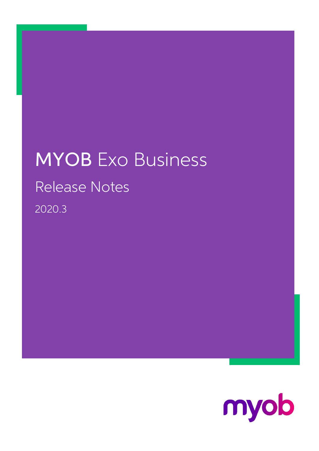## MYOB Exo Business Release Notes 2020.3

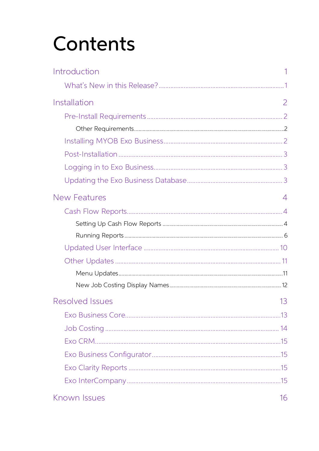# Contents

| Introduction        |    |
|---------------------|----|
|                     |    |
| Installation        | 2  |
|                     |    |
|                     |    |
|                     |    |
|                     |    |
|                     |    |
|                     |    |
| <b>New Features</b> | 4  |
|                     |    |
|                     |    |
|                     |    |
|                     |    |
|                     |    |
|                     |    |
|                     |    |
| Resolved Issues     | 13 |
|                     |    |
|                     |    |
|                     |    |
|                     |    |
|                     |    |
|                     |    |
| Known Issues        | 16 |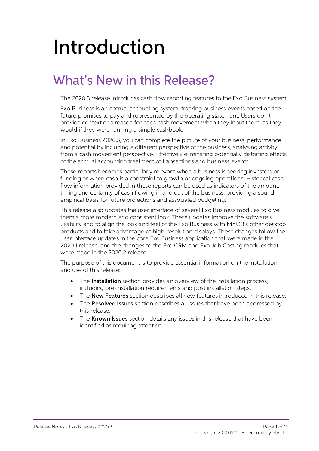# <span id="page-2-0"></span>Introduction

## <span id="page-2-1"></span>**What's New in this Release?**

The 2020.3 release introduces cash flow reporting features to the Exo Business system.

Exo Business is an accrual accounting system, tracking business events based on the future promises to pay and represented by the operating statement. Users don't provide context or a reason for each cash movement when the

In Exo Business 2020.3, you can complete the picture of your business' performance and potential by including a different perspective of the business, analysing activity<br>from a cash movement perspective. Effectively eliminating potentially distorting effects<br>of the accrual accounting treatment of transac

These reports becomes particularly relevant when a business is seeking investors or funding or when cash is a constraint to growth or ongoing operations. Historical cash flow information provided in these reports can be us

This release also updates the user interface of several Exo Business modules to give<br>them a more modern and consistent look. These updates improve the software's<br>usability and to align the look and feel of the Exo Business

The purpose of this document is to provide essential information on the installation and use of this release:

- The **Installation** section provides an overview of the installation process, including pre-installation requirements and post installation steps.
- The **New Features** section describes all new features introduced in this release.
- The **Resolved Issues** section describes all issues that have been addressed by this release.
- The **Known Issues** section details any issues in this release that have been identified as requiring attention.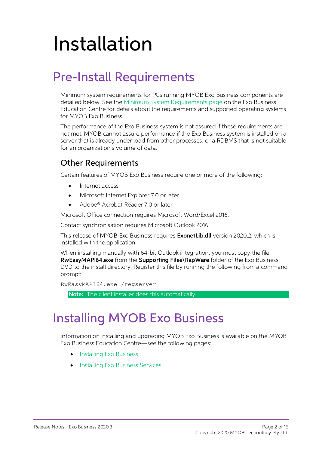# <span id="page-3-0"></span>Installation

## <span id="page-3-1"></span>Pre-Install Requirements

Minimum system requirements for PCs running MYOB Exo Business components are detailed below. See the <u>Minimum System Requirements page</u> on the Exo Business Education Centre for details about the requirements and supported

The performance of the Exo Business system is not assured if these requirements are not met. MYOB cannot assure performance if the Exo Business system is installed on a server that is already under load from other processe

#### <span id="page-3-2"></span>Other Requirements

Certain features of MYOB Exo Business require one or more of the following:

- Internet access
- Microsoft Internet Explorer 7.0 or later
- Adobe® Acrobat Reader 7.0 or later

Microsoft Office connection requires Microsoft Word/Excel 2016.

Contact synchronisation requires Microsoft Outlook 2016.

This release of MYOB Exo Business requires **ExonetLib.dll** version 2020.2, which is installed with the application.

When installing manually with 64-bit Outlook integration, you must copy the file RwEasyMAPI64.exe from the Supporting Files\RapWare folder of the Exo Business DVD to the install directory. Register this file by running the following from a command prompt:

```
RwEasyMAPI64.exe /regserver
```
Note: The client installer does this automatically.

## <span id="page-3-3"></span>Installing MYOB Exo Business

Information on installing and upgrading MYOB Exo Business is available on the MYOB Exo Business Education Centre see the following pages:

- [Installing Exo Business](http://help.myob.com.au/exo/installexobusiness.htm)
- [Installing Exo Business Services](http://help.myob.com.au/exo/installexobusinessservices.htm)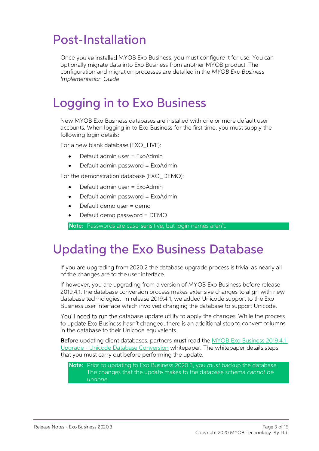## <span id="page-4-0"></span>Post-Installation

Once you've installed MYOB Exo Business, you must configure it for use. You can optionally migrate data into Exo Business from another MYOB product. The configuration and migration processes are detailed in the MYOB Exo Bu

## <span id="page-4-1"></span>Logging in to Exo Business

New MYOB Exo Business databases are installed with one or more default user<br>accounts. When logging in to Exo Business for the first time, you must supply the<br>following login details:

For a new blank database (EXO LIVE):

- $\bullet$  Default admin user = ExoAdmin
- Default admin password = ExoAdmin

For the demonstration database (EXO DEMO):

- Default admin user = ExoAdmin
- $\bullet$  Default admin password = ExoAdmin
- Default demo user = demo
- Default demo password = DEMO

Note: Passwords are case-sensitive, but login names aren't.

### <span id="page-4-2"></span>Updating the Exo Business Database

If you are upgrading from 2020.2 the database upgrade process is trivial as nearly all<br>of the changes are to the user interface.<br>If however, you are upgrading from a version of MYOB Exo Business before release<br>2019.4.1, th

You'll need to run the database update utility to apply the changes. While the process to update Exo Business hasn't changed, there is an additional step to convert columns in the database to their Unicode equivalents.

Before updating client databases, partners must read the <u>MYOB Exo Business 2019.4.1</u><br>Upgrade - Unicode Database Conversion whitepaper. The whitepaper details steps that you must carry out before performing the update.

Note: Prior to updating to Exo Business 2020.3, you must backup the database.<br>The changes that the update makes to the database schema cannot be undone.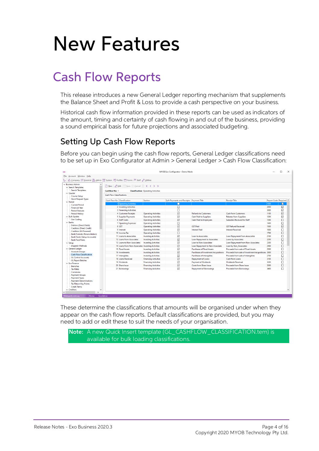## <span id="page-5-0"></span>New Features

## <span id="page-5-1"></span>Cash Flow Reports

This release introduces a new General Ledger reporting mechanism that supplements the Balance Sheet and Profit & Loss to provide a cash perspective on your business.

Historical cash flow information provided in these reports can be used as indicators of the amount, timing and certainty of cash flowing in and out of the business, providing a sound empirical basis for future projections

#### <span id="page-5-2"></span>Setting Up Cash Flow Reports

Before you can begin using the cash flow reports, General Ledger classifications need<br>to be set up in Exo Configurator at Admin > General Ledger > Cash Flow Classification:

| CX                                                                                                                                       | MYOB Exo Configurator - Demo Mode                                                                    |                                                            |                                           |                                                                      |                                                      |                      | $\Box$ | $\times$     |
|------------------------------------------------------------------------------------------------------------------------------------------|------------------------------------------------------------------------------------------------------|------------------------------------------------------------|-------------------------------------------|----------------------------------------------------------------------|------------------------------------------------------|----------------------|--------|--------------|
| File Account Window Help                                                                                                                 |                                                                                                      |                                                            |                                           |                                                                      |                                                      |                      |        |              |
| Utilities - G Company : Essential B Admin    System A Profiles - Forms AR Staff & Utilities                                              |                                                                                                      |                                                            |                                           |                                                                      |                                                      |                      |        |              |
| $\vee$ Business Admin<br>$\vee$ Search Templates<br><b>Search Templates</b><br>$\vee$ Courier<br><b>Courier Setup</b>                    | New 2 Edit Esave ⊗ Cancel III K < > > ><br><b>Cashflow No: 1</b><br><b>Cash Flow Classifications</b> | <b>Classification: Operating Activities</b>                |                                           |                                                                      |                                                      |                      |        |              |
| <b>Stock Request Types</b>                                                                                                               |                                                                                                      |                                                            |                                           |                                                                      |                                                      |                      |        |              |
| $\vee$ Period                                                                                                                            | Cash Flow No Classification                                                                          | Section                                                    | Split Payments and Receipts Payment Title |                                                                      | <b>Receipt Title</b>                                 | Report Code Required |        |              |
| <b>Current Period</b>                                                                                                                    | 1 Operating Activities                                                                               |                                                            | П                                         |                                                                      |                                                      | 1000                 | ⊠      |              |
| <b>Financial Year</b>                                                                                                                    | 2 Investing Activities                                                                               |                                                            | г                                         |                                                                      |                                                      | 2000                 | ☑      |              |
| <b>Period Statuses</b>                                                                                                                   | 3 Financing Activities                                                                               |                                                            |                                           |                                                                      |                                                      | 3000                 | ☑      |              |
| Period History                                                                                                                           | 4 Customer Receipts                                                                                  | <b>Operating Activities</b>                                | $\breve{}$                                | <b>Refunds to Customers</b>                                          | <b>Cash from Customers</b>                           | 1100                 | ☑      |              |
| $\vee$ Bulk Update<br><b>Geo Codina</b>                                                                                                  | 5 Supplier Payments                                                                                  | <b>Operating Activities</b>                                | ☑<br>$\triangledown$                      | <b>Cash Paid to Suppliers</b>                                        | <b>Rebates from Suppliers</b>                        | 1200                 | ☑<br>п |              |
| $\vee$ Banks                                                                                                                             | 6 Staff Costs                                                                                        | <b>Operating Activities</b>                                |                                           | <b>Cash Paid to Employees</b>                                        | <b>Subsidies Received for Staff</b>                  | 1300<br>1400         | п      |              |
| <b>Debtors (Direct Debit)</b>                                                                                                            | <b>7 Operating Expenses</b><br>8 GST                                                                 | <b>Operating Activities</b>                                | П<br>☑                                    | <b>GST Paid</b>                                                      | <b>GST Refund Received</b>                           | 1500                 | ⊠      |              |
| Creditors (Direct Credit)                                                                                                                | 9 Interest                                                                                           | <b>Operating Activities</b>                                | $\overline{\smile}$                       | <b>Interest Paid</b>                                                 | <b>Interest Received</b>                             | 1600                 | п      |              |
| Creditors (M-Powered)                                                                                                                    | 10 Income Tax                                                                                        | <b>Operating Activities</b>                                | $\Box$                                    |                                                                      |                                                      | 1700                 | $\Box$ |              |
| <b>Bank Formats (Reconciliation)</b>                                                                                                     | 11 Loans to Associates                                                                               | <b>Operating Activities</b>                                |                                           | <b>Loan to Associates</b>                                            |                                                      | 2100                 |        |              |
| <b>Bank Feeds (Setup Accounts)</b>                                                                                                       | 12 Loans from Associates                                                                             | <b>Investing Activities</b>                                | ☑<br>☑                                    |                                                                      | <b>Loan Repayment from Associates</b>                | 2200                 | п<br>п |              |
| <b>Bank Feed Rules</b>                                                                                                                   | 13 Loans to Non-Associates                                                                           | <b>Investing Activities</b>                                |                                           | <b>Loan Repayment to Associates</b><br><b>Loan to Non-Associates</b> | <b>Loans by Associates</b>                           |                      |        |              |
| $\vee$ Setup<br><b>Dispatch Methods</b>                                                                                                  |                                                                                                      | <b>Investing Activities</b>                                | $\triangledown$<br>$\triangleright$       |                                                                      | <b>Loan Repayment from Non-Associates</b>            | 2300<br>2400         | п<br>П |              |
| $\vee$ General Ledger                                                                                                                    | 14 Loans from Non-Associates Investing Activities                                                    |                                                            |                                           | Loan Repayment to Non-Associate                                      | <b>Loan by Non Associates</b>                        |                      |        |              |
| <b>Account Groups</b>                                                                                                                    | <b>15 Fixed Assets</b><br>16 Investments                                                             | <b>Investing Activities</b>                                | ☑<br>$\triangleright$                     | <b>Purchases of Fixed Assets</b>                                     | Proceeds from sale of Fixed Assets                   | 2500                 | п<br>П |              |
| <b>Cash Flow Classification</b>                                                                                                          | 17 Intangibles                                                                                       | <b>Investing Activities</b>                                | $\overline{\smile}$                       | <b>Purchases of Investment Acquisitions</b>                          | Proceeds from sale of Investment Acquisitions 2600   | 2700                 | п      |              |
| <b>GL Control Accounts</b>                                                                                                               | 18 Loans Received                                                                                    | <b>Investing Activities</b>                                | $\checkmark$                              | <b>Purchases of Intangibles</b>                                      | Proceeds from sale of Intangibles<br>Cash from Loans | 3100                 | $\Box$ |              |
| <b>GL Report Batches</b>                                                                                                                 | 19 Dividends                                                                                         | <b>Financing Activities</b><br><b>Financing Activities</b> | ☑                                         | <b>Repayment of Loans</b><br><b>Payment of Dividends</b>             | <b>Dividends Received</b>                            | 3200                 | п      |              |
| $\vee$ Exo Finance                                                                                                                       | 20 Share Issue                                                                                       | <b>Financing Activities</b>                                | $\triangledown$                           | <b>Costs from Share Issue</b>                                        | <b>Proceeds from Share Issue</b>                     | 3300                 | П      |              |
| <b>Branches</b>                                                                                                                          | 21 Borrowings                                                                                        | <b>Financing Activities</b>                                | $\overline{\vee}$                         | <b>Repayment of Borrowings</b>                                       | <b>Proceeds from Borrowings</b>                      | 3400                 | п      |              |
| <b>Tax Rates</b><br>Currencies<br><b>Payment Groups</b><br><b>Payment Types</b><br><b>Payment Denominations</b><br>Tax Return Key Points |                                                                                                      |                                                            |                                           |                                                                      |                                                      |                      |        |              |
| <b>Credit Terms</b>                                                                                                                      |                                                                                                      |                                                            |                                           |                                                                      |                                                      |                      |        |              |
| $\vee$ Creditors                                                                                                                         |                                                                                                      |                                                            |                                           |                                                                      |                                                      |                      |        | $\checkmark$ |
| $\overline{\phantom{a}}$<br>$\left\langle \right\rangle$                                                                                 |                                                                                                      |                                                            |                                           |                                                                      |                                                      |                      |        |              |
| Motopartz.com.au<br>ExoAdmin<br>Demo                                                                                                     |                                                                                                      |                                                            |                                           |                                                                      |                                                      |                      |        |              |

These determine the classifications that amounts will be organised under when they appear on the cash flow reports. Default classifications are provided, but you may need to add or edit these to suit the needs of your orga

Note: A new Quick Insert template (GL\_CASHFLOW\_CLASSIFICATION.tem) is available for bulk loading classifications.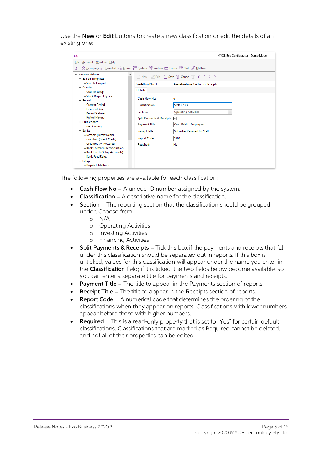Use the **New** or **Edit** buttons to create a new classification or edit the details of an existing one:

| <b>CX</b>                                                                                                                  |                              | MYOB Exo Configurator - Demo Mode                                      |  |  |  |  |
|----------------------------------------------------------------------------------------------------------------------------|------------------------------|------------------------------------------------------------------------|--|--|--|--|
| Account Window Help<br>File                                                                                                |                              |                                                                        |  |  |  |  |
| Gompany $\frac{3}{2}$ Essential & Admin \\\\ System \\\\ Profiles \\\ Forms \\\ Staff & Utilities<br>ŀ٣.                   |                              |                                                                        |  |  |  |  |
| $\sim$ Business Admin<br>́<br>$\vee$ Search Templates                                                                      |                              | $\Box$ New $\Diamond$ Edit $\Box$ Save $\otimes$ Cancel $\Box$ K < > > |  |  |  |  |
| Search Templates                                                                                                           | Cashflow No: 4               | <b>Classification: Customer Receipts</b>                               |  |  |  |  |
| $\vee$ Courier<br>Courier Setup                                                                                            | <b>Details</b>               |                                                                        |  |  |  |  |
| Stock Request Types<br>$\vee$ Period                                                                                       | Cash Flow No:                | 6                                                                      |  |  |  |  |
| - Current Period                                                                                                           | <b>Classification:</b>       | <b>Staff Costs</b>                                                     |  |  |  |  |
| - Financial Year<br>Period Statuses                                                                                        | Section:                     | <b>Operating Activities</b><br>v                                       |  |  |  |  |
| Period History                                                                                                             | Split Payments & Receipts: √ |                                                                        |  |  |  |  |
| $\vee$ Bulk Update<br><b>Geo Coding</b>                                                                                    | Payment Title:               | <b>Cash Paid to Employees</b>                                          |  |  |  |  |
| $\vee$ Banks                                                                                                               | <b>Receipt Title:</b>        | <b>Subsidies Received for Staff</b>                                    |  |  |  |  |
| <b>Debtors (Direct Debit)</b><br>- Creditors (Direct Credit)                                                               | <b>Report Code:</b>          | 1300                                                                   |  |  |  |  |
| - Creditors (M-Powered)<br><b>Bank Formats (Reconciliation)</b><br><b>Bank Feeds (Setup Accounts)</b><br>- Bank Feed Rules | Required:                    | No                                                                     |  |  |  |  |
| $\vee$ Setup                                                                                                               |                              |                                                                        |  |  |  |  |
| Dispatch Methods                                                                                                           |                              |                                                                        |  |  |  |  |

The following properties are available for each classification:

- **Cash Flow No**  $-$  A unique ID number assigned by the system.
- **Classification**  $-$  A descriptive name for the classification.
- **Section** The reporting section that the classification should be grouped under. Choose from:
	- o N/A
	- o Operating Activities
	- o Investing Activities
	- o Financing Activities
- **Split Payments & Receipts**  $-$  Tick this box if the payments and receipts that fall under this classification should be separated out in reports. If this box is unticked, values for this classification will appear under
- Payment Title The title to appear in the Payments section of reports.
- **Receipt Title**  $-$  The title to appear in the Receipts section of reports.
- **Report Code** A numerical code that determines the ordering of the classifications when they appear on reports. Classifications with lower numbers appear before those with higher numbers.
- Required  $-$  This is a read-only property that is set to "Yes" for certain default classifications. Classifications that are marked as Required cannot be deleted, and not all of their properties can be edited.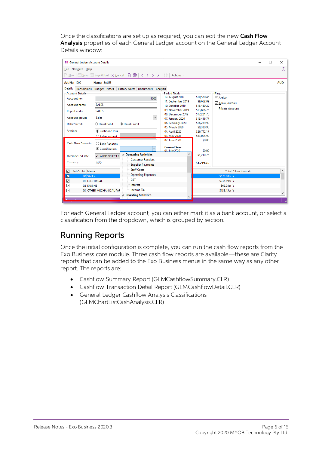Once the classifications are set up as required, you can edit the new Cash Flow<br>Analysis properties of each General Ledger account on the General Ledger Account<br>Details window:

| <b>EB</b> General Ledger Account Details                                                                                                |                                                                                                                                                                                                          |                                                                                                                                                                                                           |                                                                                                                                   |                                                                                            | п | X          |
|-----------------------------------------------------------------------------------------------------------------------------------------|----------------------------------------------------------------------------------------------------------------------------------------------------------------------------------------------------------|-----------------------------------------------------------------------------------------------------------------------------------------------------------------------------------------------------------|-----------------------------------------------------------------------------------------------------------------------------------|--------------------------------------------------------------------------------------------|---|------------|
| Eile Navigate Help                                                                                                                      |                                                                                                                                                                                                          |                                                                                                                                                                                                           |                                                                                                                                   |                                                                                            |   | ⊕          |
| New                                                                                                                                     |                                                                                                                                                                                                          |                                                                                                                                                                                                           |                                                                                                                                   |                                                                                            |   |            |
| A/c No: 1000                                                                                                                            | Name: SALES                                                                                                                                                                                              |                                                                                                                                                                                                           |                                                                                                                                   |                                                                                            |   | <b>AUD</b> |
| <b>Details</b><br><b>Account Details</b><br>Account no:<br>Account name:<br>Report code:<br>Account group:<br>Debit/credit:<br>Section: | Transactions Budget Notes History Notes Documents Analysis<br>1000<br><b>SALES</b><br><b>SALES</b><br>$\checkmark$<br><b>Sales</b><br>O Usual Debit<br><b>O</b> Usual Credit<br><b>O</b> Profit and loss | <b>Period Totals:</b><br>12. August 2019<br>11. September 2019<br>10. October 2019<br>09. November 2019<br>08. December 2019<br>07. January 2020<br>06. February 2020<br>05. March 2020<br>04. April 2020 | \$10,560.46<br>\$9,652.09<br>\$18,480.29<br>\$13,806.75<br>\$17,281.76<br>\$15,416.77<br>\$16,259.99<br>\$9,330.95<br>\$26,742.17 | Flags<br><b>∞</b> Active<br>Allow journals<br>Private Account                              |   |            |
| <b>Cash Flow Analysis:</b><br>Override GST rate:<br>Currency:                                                                           | ◯ Balance sheet<br>◯ Bank Account<br>$\checkmark$<br>Classification<br><b>A</b> Operating Activities<br>-1. AUTO SELECT R<br><b>Customer Receipts</b><br><b>AUD</b><br><b>Supplier Payments</b>          | 03. May 2020<br>02. June 2020<br><b>Current Year:</b><br>01. July 2020                                                                                                                                    | \$63,005.90<br>\$0.00<br>\$0.00<br>\$1,219.76<br>\$1.219.76                                                                       |                                                                                            |   |            |
| SubAccNo Name<br>✓<br>00 SALES<br>☑<br>$\overline{\smile}$<br>$\overline{\smile}$<br>02 ENGINE<br>☑                                     | <b>Staff Costs</b><br><b>Operating Expenses</b><br><b>GST</b><br>01 ELECTRICAL<br>Interest<br><b>Income Tax</b><br>03 OTHER MECHANICAL PAR<br>Imvesting Activities                                       |                                                                                                                                                                                                           |                                                                                                                                   | <b>Total Allow Journals</b><br>\$675,00cr Y<br>\$236,89cr Y<br>\$62.04cr Y<br>\$133.15cr Y |   | ۸          |

For each General Ledger account, you can either mark it as a bank account, or select a classification from the dropdown, which is grouped by section.

#### <span id="page-7-0"></span>Running Reports

Once the initial configuration is complete, you can run the cash flow reports from the Exo Business core module. Three cash flow reports are available—these are Clarity reports that can be added to the Exo Business menus i

- Cashflow Summary Report (GLMCashflowSummary.CLR)
- Cashflow Transaction Detail Report (GLMCashflowDetail.CLR)
- General Ledger Cashflow Analysis Classifications (GLMChartListCashAnalysis.CLR)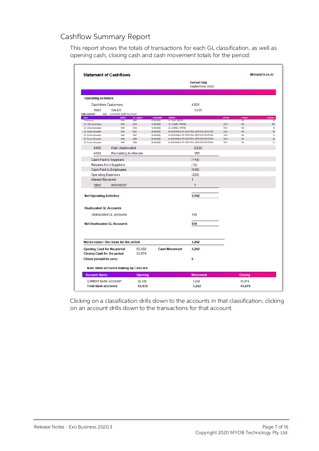#### Cashflow Summary Report

This report shows the totals of transactions for each GL classification, as well as opening cash, closing cash and cash movement totals for the period:

| <b>Statement of Cashflows</b>                                            |                                |                  |                          |                                          |                                       |              |            | Motopartz.co.nz |
|--------------------------------------------------------------------------|--------------------------------|------------------|--------------------------|------------------------------------------|---------------------------------------|--------------|------------|-----------------|
|                                                                          |                                |                  |                          |                                          | <b>Period Only</b><br>September 2020  |              |            |                 |
| <b>Operating Activities</b>                                              |                                |                  |                          |                                          |                                       |              |            |                 |
| Cash from Customers                                                      |                                |                  |                          |                                          | 4,031                                 |              |            |                 |
| 1000                                                                     | <b>SALES</b>                   |                  |                          |                                          | 1,025                                 |              |            |                 |
| Cash Account:<br>4000                                                    | <b>CURRENT BANK ACCOUNT</b>    |                  |                          |                                          |                                       |              |            |                 |
| Type                                                                     | Batch                          | <b>GL Segno</b>  | TransDate                | <b>Details</b>                           |                                       | <b>InvNo</b> | Chqno      | Amount          |
| CB Income<br>Dr CBConsolidated                                           | 1034<br>1035                   | 4094<br>4104     | 07.09.2020<br>10.09.2020 | <b>0. CASH SALES</b><br>23. DANIEL PAYNE |                                       | 1013         | 142<br>143 | 10<br>805       |
| Dr CBConsolidated                                                        | 1035                           | 4104             | 10.09.2020               | 23. DANIEL PAYNE                         |                                       | 1013         | 143        | 10              |
| Dr Direct Allocated                                                      | 1044                           | 4227             | 30.09.2020               |                                          | 6. SYMONDS ST CENTRAL SERVICE STATION | 1014         | 145        | 89              |
| <b>Dr Direct Allocated</b>                                               | 1044                           | 4227             | 30.09.2020               |                                          | 6. SYMONDS ST CENTRAL SERVICE STATION | 1014         | 145        | 12              |
| Dr Direct Allocated                                                      | 1046                           | 4236             | 30.09.2020               |                                          | 6. SYMONDS ST CENTRAL SERVICE STATION | 1014         | 145        | 89              |
| <b>Dr Direct Allocated</b>                                               | 1046                           | 4236             | 30.09.2020               |                                          | 6. SYMONDS ST CENTRAL SERVICE STATION | 1014         | 145        | 12              |
| 4100                                                                     | <b>Fully Unallocated</b>       |                  |                          |                                          | 2,820                                 |              |            |                 |
| 4100                                                                     | Remaining to Allocate          |                  |                          |                                          | 185                                   |              |            |                 |
| Cash Paid to Suppliers                                                   |                                |                  |                          |                                          | (114)                                 |              |            |                 |
|                                                                          | Rebates from Suppliers         |                  |                          |                                          | (10)                                  |              |            |                 |
|                                                                          | Cash Paid to Employees         |                  |                          |                                          | (540)                                 |              |            |                 |
| <b>Operating Expenses</b>                                                |                                |                  |                          |                                          | (226)                                 |              |            |                 |
|                                                                          |                                |                  |                          |                                          |                                       |              |            |                 |
| <b>Interest Received</b>                                                 |                                |                  |                          |                                          | 1                                     |              |            |                 |
| 1800<br><b>Net Operating Activities</b>                                  | <b>INTEREST</b>                |                  |                          |                                          | 1<br>3,142                            |              |            |                 |
|                                                                          |                                |                  |                          |                                          |                                       |              |            |                 |
| <b>Unallocated GL Accounts</b>                                           |                                |                  |                          |                                          |                                       |              |            |                 |
|                                                                          | <b>Unallocated GL Accounts</b> |                  |                          |                                          | 100                                   |              |            |                 |
| <b>Net Unallocated GL Accounts</b>                                       |                                |                  |                          |                                          | 100                                   |              |            |                 |
|                                                                          |                                |                  |                          |                                          |                                       |              |            |                 |
| Net increase / Decrease for the period                                   |                                |                  |                          |                                          | 3,242                                 |              |            |                 |
| <b>Opening Cash for the period</b><br><b>Closing Cash for the period</b> |                                | 52,432<br>55,674 |                          | <b>Cash Movement</b>                     | 3,242                                 |              |            |                 |
| <b>Check (should be zero)</b>                                            |                                |                  |                          |                                          | 0                                     |              |            |                 |
| Note: Bank accounts making up Cash are                                   |                                |                  |                          |                                          |                                       |              |            |                 |
| <b>Account Name</b>                                                      |                                | Opening          |                          |                                          | <b>Movement</b>                       |              | Closing    |                 |
| <b>CURRENT BANK ACCOUNT</b>                                              |                                | 52,432           |                          |                                          | 3.242                                 |              | 55.674     |                 |
|                                                                          |                                |                  |                          |                                          |                                       |              |            |                 |

Clicking on a classification drills down to the accounts in that classification; clicking on an account drills down to the transactions for that account.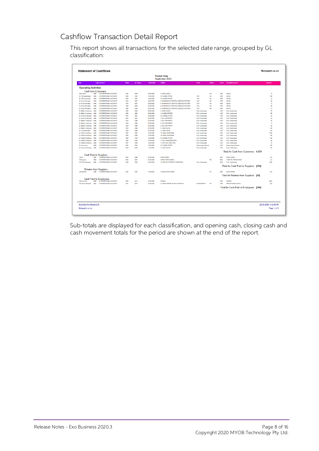#### Cashflow Transaction Detail Report

This report shows all transactions for the selected date range, grouped by GL classification:

|                             |      |                               |       |            |                  | <b>Period Only</b><br>September 2020  |                          |       |       |                                        |                       |
|-----------------------------|------|-------------------------------|-------|------------|------------------|---------------------------------------|--------------------------|-------|-------|----------------------------------------|-----------------------|
| Type                        |      | Cash Account                  | Batch | GL Seano   | <b>TransDate</b> | Details                               | InvNo                    | Chang | Accho | <b>Allocated Account</b>               | Amount                |
| <b>Operating Activities</b> |      |                               |       |            |                  |                                       |                          |       |       |                                        |                       |
| <b>Cash from Customers</b>  |      |                               |       |            |                  |                                       |                          |       |       |                                        |                       |
| CB Income                   | 4000 | <b>CURRENT BANK ACCOUNT</b>   | 1034  | 4094       | 07.09.2020       | <b>0. CASH SALES</b>                  |                          | 142   | 1000  | <b>SALES</b>                           | 10                    |
| Dr CBConsolidated           | 4000 | <b>CURRENT BANK ACCOUNT</b>   | 1035  | 4104       | 10.09.2020       | 23 DANIEL PAYNE                       | 1013                     | 143   | 1000  | <b>SALES</b>                           | 805                   |
| Dr CBConsolidated           | 4000 | <b>CURRENT BANK ACCOUNT</b>   | 1035  | 4104       | 10.09.2020       | 23. DANIEL PAYNE                      | 1013                     | 143   | 1000  | <b>SALES</b>                           | 10                    |
| Dr Direct Allocated         | 4000 | <b>CURRENT BANK ACCOUNT</b>   | 1044  | 4227       | 30.09.2020       | 6. SYMONDS ST CENTRAL SERVICE STATION | 1014                     | 145   | 1000  | <b>SALES</b>                           | 89                    |
| Dr Direct Allocated         | 4000 | <b>CURRENT BANK ACCOUNT</b>   | 1044  | 4227       | 30.09.2020       | 6. SYMONDS ST CENTRAL SERVICE STATION | 1014                     | 145   | 1000  | <b>SALES</b>                           | 12                    |
| Dr Direct Allocated         | anno | <b>CURRENT BANK ACCOUNT</b>   | 1046  | 4236       | 30.09.2020       | 6. SYMONDS ST CENTRAL SERVICE STATION | 1014                     | 145   | 1000  | <b>SALES</b>                           | 89                    |
| Dr Direct Allocated         | anno | <b>CURRENT BANK ACCOUNT</b>   | 1046  | 4236       | 30.09.2020       | 6. SYMONDS ST CENTRAL SERVICE STATION | 1014                     | 145   | 1000  | <b>SALES</b>                           | 12                    |
| Dr BBatch Unallocate        | 4000 | <b>CURRENT BANK ACCOUNT</b>   | 1050  | 4293       | 02.09.2020       | 0. CASH SALES                         | <b>Fully Unallocated</b> |       | 4100  | Fully Unallocated                      | 75                    |
| Dr BBatch Unallocate        | 4000 | <b>CURRENT BANK ACCOUNT</b>   | 1050  | 4293       | 02.09.2020       | 3. AUSSIE SPARES                      | <b>Fully Unallocated</b> |       | 4100  | Fully Unallocated                      | 376                   |
| Dr Direct Unallocate        | 4000 | <b>CURRENT BANK ACCOUNT</b>   | 1044  | 4221       | 04.09.2020       | 23. DANIEL PAYNE                      | Fully Unallocated        |       | 4100  | Fully Unallocated                      | 30                    |
| Dr Direct Unallocate        | 4000 | <b>CURRENT BANK ACCOUNT</b>   | 1044  | m          | 04.09.2020       | 2. ALL CAR PARTS                      | Fully Unallocated        |       | 4100  | Fully Unallocated                      | 30                    |
| Dr BBatch Unallocate        | 4000 | <b>CURRENT BANK ACCOUNT</b>   | 1033  | 4096       | 07.09.2020       | 2. ALL CAR PARTS                      | <b>Fully Unallocated</b> |       | 4100  | <b>Fully Unallocated</b>               | 50                    |
| Dr BBatch Unallocate        | 4000 | <b>CURRENT BANK ACCOUNT</b>   | 1033  | 4096       | 07.09.2020       | 2. ALL CAR PARTS                      | <b>Fully Unallocated</b> |       | 4100  | Fully Unallocated                      | 10                    |
| Dr BBatch Unallocate        | 4000 | <b>CURRENT BANK ACCOUNT</b>   | 1033  | 4096       | 07.09.2020       | 2. ALL CAR PARTS                      | <b>Fully Unallocated</b> |       | 4100  | <b>Fully Unallocated</b>               | 20                    |
| Dr BBatch Unallocate        | 4000 | <b>CURRENT BANK ACCOUNT</b>   | 1033  | <b>MYR</b> | 07.09.2020       | <b>0. CASH SALES</b>                  | <b>Fully Unallocated</b> |       | 4100  | <b>Fully Unallocated</b>               | 100                   |
| Dr CB Unallocated           | 4000 | <b>CURRENT BANK ACCOUNT</b>   | 1034  | 409        | 07.09.2020       | <b>0. CASH SALES</b>                  | <b>Fully Unallocated</b> |       | 4100  | Fully Unallocated                      | 100                   |
| Dr CBCon Unallocat          | 4000 | <b>CURRENT BANK ACCOUNT</b>   | 1035  | 4104       | 10.09.2020       | 10. NIGEL EMERSON                     | <b>Fully Unallocated</b> |       | 4100  | Fully Unallocated                      | 1,000                 |
| Dr RBatch Unallocati        | 4000 | <b>CURRENT BANK ACCOUNT</b>   | 1036  | 4106       | 10.09.2020       | 10. NIGEL EMERSON                     | Fully Unallocated        |       | 4100  | Fully Unallocated                      | 100                   |
| Dr RBatch Unallocati        | 4000 | <b>CURRENT BANK ACCOUNT</b>   | 1036  | 4106       | 10.09.2020       | 23 DANIEL PAYNE                       | Fully Unallocated        |       | 4100  | Fully Unallocated                      | 700                   |
| Dr RRwch Unathron           | 4000 | <b>CURRENT BANK ACCOUNT</b>   | 1036  | 4106       | 10.09.2020       | <b>5. D &amp; C PANELBEATERS</b>      | <b>Fully Unallocated</b> |       | 4100  | Fully Unallocated                      | m                     |
| Dr RBatch Unallocati        | 4000 | <b>CURRENT BANK ACCOUNT</b>   | 1037  | 4108       | 10.09.2020       | 4. THE CAR JUNCTION                   | Fully Unallocated        |       | 4100  | Fully Unallocated                      | 70                    |
| Dr Remaining                | 4000 | <b>CURRENT BANK ACCOUNT</b>   | 1035  | 4104       | 10.09.2020       | 23. DANIEL PAYNE                      | Remaining to Allocat     |       | 4100  | Remaining to Allocate                  | 185                   |
| Dr Direct Unallocate        | 4000 | <b>CURRENT BANK ACCOUNT</b>   | 1044  | 4225       | 11.09.2020       | <b>0. CASH SALES</b>                  | Fully Unallocated        |       | 4100  | <b>Fully Unallocated</b>               | 100                   |
|                             |      |                               |       |            |                  |                                       |                          |       |       | Total for Cash from Customers 4.031    |                       |
|                             |      | <b>Cash Paid to Suppliers</b> |       |            |                  |                                       |                          |       |       |                                        |                       |
| CB GL                       | 4000 | <b>CURRENT BANK ACCOUNT</b>   | 1034  | 4098       | 07.09.2020       | <b>PURCHASES</b>                      |                          |       | 2000  | <b>PURCHASES</b>                       | (10)                  |
| CB Expense                  | ann  | <b>CURRENT BANK ACCOUNT</b>   | 1033  | 4091       | 07.09.2020       | <b>0.MISC PURCHASES</b>               |                          | 100   | 2050  | COST OF GOODS SOLD                     | (4)                   |
| CR CR Unallocated           | 4000 | <b>CURRENT BANK ACCOUNT</b>   | 1034  | 4100       | 07.09.2020       | 10. RENTAL PROPERTY SERVICES          | <b>Fully Unallocated</b> |       | 5500  | Fully Unallocated                      | (100)                 |
|                             |      |                               |       |            |                  |                                       |                          |       |       | Total for Cash Paid to Suppliers (114) |                       |
|                             |      | <b>Rebates from Suppliers</b> |       |            |                  |                                       |                          |       |       |                                        |                       |
| <b>CB Experter</b>          | 4000 | <b>CURRENT BANK ACCOUNT</b>   | 1035  | 4104       | 10.09.2020       | <b>0. MISC PURCHASES</b>              |                          | tūt   | 2000  | <b>PURCHASES</b>                       | (10)                  |
|                             |      |                               |       |            |                  |                                       |                          |       |       | Total for Rebates from Suppliers (10)  |                       |
|                             |      | <b>Cash Paid to Employees</b> |       |            |                  |                                       |                          |       |       |                                        |                       |
| CB (Con) GL                 | 4000 | <b>CURRENT BANK ACCOUNT</b>   | 1038  | 4113       | 10.09.2020       | <b>WAGES</b>                          |                          |       | 3750  | <b>WAGES</b>                           | (500)                 |
| <b>CR Direct Allocated</b>  | 4000 | <b>CURRENT BANK ACCOUNT</b>   | 1041  | 4201       | 24.09.2020       | 27. EENY MEENY OFFICE SUPPLIES        | <b>STATIONERY1</b>       | 104   | 3760  | <b>BREAK ROOM COSTS</b>                | (40)                  |
|                             |      |                               |       |            |                  |                                       |                          |       |       | Total for Cash Paid to Employees (540) |                       |
|                             |      |                               |       |            |                  |                                       |                          |       |       |                                        |                       |
| GLMCashflowDetail CLR       |      |                               |       |            |                  |                                       |                          |       |       |                                        | 22.09.2020 4:32:52 PM |

Sub-totals are displayed for each classification, and opening cash, closing cash and cash movement totals for the period are shown at the end of the report.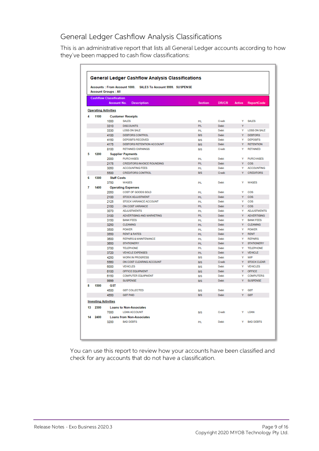#### General Ledger Cashflow Analysis Classifications

This is an administrative report that lists all General Ledger accounts according to how they've been mapped to cash flow classifications:

|    |                             | <b>Account Groups: All</b>     | <b>Accounts: From Account 1000.</b><br>SALES To Account 9999. SUSPENSE |                |                |        |                    |
|----|-----------------------------|--------------------------------|------------------------------------------------------------------------|----------------|----------------|--------|--------------------|
|    |                             | <b>Cashflow Classification</b> |                                                                        |                |                |        |                    |
|    |                             | Account No.                    | <b>Description</b>                                                     | <b>Section</b> | <b>DR/CR</b>   | Active | <b>ReportCode</b>  |
|    |                             | <b>Operating Activities</b>    |                                                                        |                |                |        |                    |
|    |                             |                                |                                                                        |                |                |        |                    |
| Λ  | 1100                        |                                | <b>Customer Receipts</b>                                               |                |                |        |                    |
|    |                             | 1000                           | <b>SALES</b>                                                           | <b>P/L</b>     | Credit         | Y      | <b>SALES</b>       |
|    |                             | 3310                           | <b>DISCOUNTS</b>                                                       | P/L            | Debit          | Ÿ      |                    |
|    |                             | 3330                           | LOSS ON SALE                                                           | <b>PA</b>      | Debit          | Y      | LOSS ON SALE       |
|    |                             | 4100                           | DEBTORS CONTROL                                                        | BIS            | Debit          | Ÿ      | <b>DEBTORS</b>     |
|    |                             | 4150                           | <b>DEPOSITS RECEIVED</b>                                               | <b>B/S</b>     | Debit<br>Debit | ٧      | <b>DEPOSITS</b>    |
|    |                             | 4175                           | DEBTORS RETENTION ACCOUNT                                              | <b>B/S</b>     |                | Ÿ      | <b>RETENTION</b>   |
|    |                             | 8100                           | <b>RETAINED EARNINGS</b>                                               | <b>B/S</b>     | Credit         | ٧      | <b>RETAINED</b>    |
| 5  | 1200                        |                                | <b>Supplier Payments</b>                                               |                |                |        |                    |
|    |                             | 2000                           | <b>PURCHASES</b>                                                       | <b>P/L</b>     | Debit          | Ÿ      | <b>PURCHASES</b>   |
|    |                             | 2175                           | <b>CREDITORS INVOICE ROUNDING</b>                                      | P/L            | Debit          | Ÿ      | cos                |
|    |                             | 3050                           | <b>ACCOUNTING FEES</b>                                                 | P/L            | Debit          | Y      | <b>ACCOUNTING</b>  |
|    |                             | 5500                           | <b>CREDITORS CONTROL</b>                                               | <b>B/S</b>     | Credit         | Ÿ      | <b>CREDITORS</b>   |
| 6  | 1300                        | <b>Staff Costs</b>             |                                                                        |                |                |        |                    |
|    |                             | 3750                           | <b>WAGES</b>                                                           | <b>P/L</b>     | Dehit          | ٧      | <b>WAGES</b>       |
| 7  | 1400                        |                                | <b>Operating Expenses</b>                                              |                |                |        |                    |
|    |                             | 2050                           | COST OF GOODS SOLD                                                     | PA.            | Debit          | ٧      | cos                |
|    |                             | 2100                           | <b>STOCK ADJUSTMENT</b>                                                | <b>P/L</b>     | Debit          | Ÿ      | cos                |
|    |                             | 2125                           | STOCK VARIANCE ACCOUNT                                                 | PA             | Debit          | ٧      | cos                |
|    |                             | 2150                           | ON COST VARIANCE                                                       | PA.            | Debit          | Y      | cos                |
|    |                             | 3070                           | <b>ADJUSTMENTS</b>                                                     | <b>P/L</b>     | Debit          | Y      | <b>ADJUSTMENTS</b> |
|    |                             | 3100                           | ADVERTISING AND MARKETING                                              | <b>P/L</b>     | Debit          | Ÿ      | <b>ADVERTISING</b> |
|    |                             | 3150                           | <b>BANK FEES</b>                                                       | <b>PA</b>      | Debit          | ٧      | <b>BANK FEES</b>   |
|    |                             | 3250                           | <b>CLEANING</b>                                                        | P/L            | Debit          | Ÿ      | <b>CLEANING</b>    |
|    |                             | 3500                           | <b>POWER</b>                                                           | P/L            | Debit          | ٧      | <b>POWER</b>       |
|    |                             | 3550                           | <b>RENT &amp; RATES</b>                                                | <b>PA</b>      | Debit          | Ÿ      | <b>RENT</b>        |
|    |                             | 3600                           | <b>REPAIRS &amp; MAINTENANCE</b>                                       | <b>P/L</b>     | Debit          | Y      | <b>REPAIRS</b>     |
|    |                             | 3650                           | <b>STATIONERY</b>                                                      | P/L            | Debit          | Y      | <b>STATIONERY</b>  |
|    |                             | 3700                           | <b>TELEPHONE</b>                                                       | <b>P/L</b>     | Debit          | ٧      | <b>TELEPHONE</b>   |
|    |                             | 3720                           | <b>VEHICLE EXPENSES</b>                                                | <b>P/L</b>     | Debit          | Ÿ      | <b>VEHICLE</b>     |
|    |                             | 4250                           | <b>WORK IN PROGRESS</b>                                                | <b>B/S</b>     | Debit          | Ÿ      | WIP                |
|    |                             | 5560                           | ON COST CLEARING ACCOUNT                                               | <b>B/S</b>     | Credit         | Ÿ      | <b>STOCK CLEAR</b> |
|    |                             | 6000                           | <b>VEHICLES</b>                                                        | <b>BIS</b>     | Debit          | ٧      | <b>VEHICLES</b>    |
|    |                             | 6100                           | OFFICE EQUIPMENT                                                       | <b>B/S</b>     | Debit          | Ÿ      | <b>OFFICE</b>      |
|    |                             | 6150                           | <b>COMPUTER EQUIPMENT</b>                                              | <b>B/S</b>     | Debit          | ٧      | <b>COMPUTERS</b>   |
|    |                             | 9999                           | <b>SUSPENSE</b>                                                        | <b>B/S</b>     | Debit          | Ÿ      | <b>SUSPENSE</b>    |
| 8  | 1500                        | <b>GST</b>                     |                                                                        |                |                |        |                    |
|    |                             | 4500                           | <b>GST COLLECTED</b>                                                   | <b>B/S</b>     | Debit          | ٧      | <b>GST</b>         |
|    |                             | 4550                           | <b>GST PAID</b>                                                        | <b>B/S</b>     | Debit          | Ÿ      | <b>GST</b>         |
|    | <b>Investing Activities</b> |                                |                                                                        |                |                |        |                    |
| 13 | 2300                        |                                | <b>Loans to Non-Associates</b>                                         |                |                |        |                    |
|    |                             | 7000                           | <b>LOAN ACCOUNT</b>                                                    |                | Credit         | ٧      | <b>LOAN</b>        |
|    |                             |                                |                                                                        | <b>B/S</b>     |                |        |                    |
| 14 | 2400                        |                                | <b>Loans from Non-Associates</b>                                       |                |                |        |                    |
|    |                             | 3200                           | <b>BAD DEBTS</b>                                                       | PÆ.            | Debit          | Y      | <b>BAD DEBTS</b>   |

You can use this report to review how your accounts have been classified and check for any accounts that do not have a classification.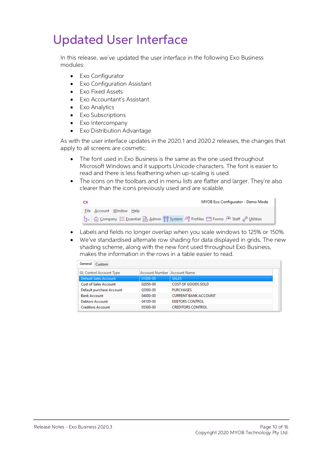## <span id="page-11-0"></span>Updated User Interface

In this release, we've updated the user interface in the following Exo Business modules:

- Exo Configurator
- Exo Configuration Assistant
- Exo Fixed Assets
- **Fxo Accountant's Assistant**
- Exo Analytics
- Exo Subscriptions
- Exo Intercompany
- **Exo Distribution Advantage**

As with the user interface updates in the 2020.1 and 2020.2 releases, the changes that apply to all screens are cosmetic:

- The font used in Exo Business is the same as the one used throughout Microsoft Windows and it supports Unicode characters. The font is easier to read and there is less feathering when up-scaling is used.
- The icons on the toolbars and in menu lists are flatter and larger. They're also • clearer than the icons previously used and are scalable.

| CX                       | MYOB Exo Configurator - Demo Mode |
|--------------------------|-----------------------------------|
| File Account Window Help |                                   |
|                          |                                   |

- Labels and fields no longer overlap when you scale windows to 125% or 150%.
- We ve standardised alternate row shading for data displayed in grids. The new shading scheme, along with the new font used throughout Exo Business, makes the information in the rows in a table easier to read.

| <b>General</b><br>Custom       |                               |                             |  |  |  |  |  |  |
|--------------------------------|-------------------------------|-----------------------------|--|--|--|--|--|--|
| <b>GL Control Account Type</b> | Account Number   Account Name |                             |  |  |  |  |  |  |
| Default Sales Account          | 01000-00                      | <b>SALES</b>                |  |  |  |  |  |  |
| <b>Cost of Sales Account</b>   | 02050-00                      | COST OF GOODS SOLD          |  |  |  |  |  |  |
| Default purchase Account       | 02000-00                      | <b>PURCHASES</b>            |  |  |  |  |  |  |
| <b>Bank Account</b>            | 04000-00                      | <b>CURRENT BANK ACCOUNT</b> |  |  |  |  |  |  |
| <b>Debtors Account</b>         | 04100-00                      | DEBTORS CONTROL             |  |  |  |  |  |  |
| <b>Creditors Account</b>       | 05500-00                      | <b>CREDITORS CONTROL</b>    |  |  |  |  |  |  |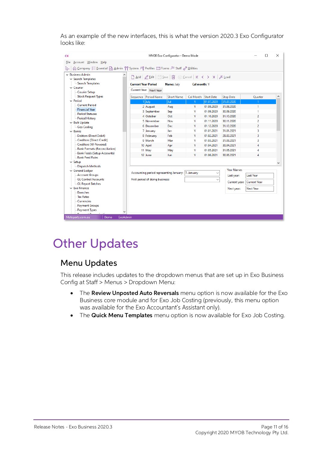As an example of the new interfaces, this is what the version 2020.3 Exo Configurator looks like:

| <b>CX</b>                                                                      |                                                                                                                                                                                                            | MYOB Exo Configurator - Demo Mode |              |                   |                   |                            | × |
|--------------------------------------------------------------------------------|------------------------------------------------------------------------------------------------------------------------------------------------------------------------------------------------------------|-----------------------------------|--------------|-------------------|-------------------|----------------------------|---|
| Account Window Help<br>File                                                    |                                                                                                                                                                                                            |                                   |              |                   |                   |                            |   |
| Gompany ジ Essential B Admin MM System PM Profiles □ Forms PR Staff & Utilities |                                                                                                                                                                                                            |                                   |              |                   |                   |                            |   |
| $\sim$ Business Admin<br>$\vee$ Search Templates                               | $\boxed{\phantom{a}}$ Add $\boxed{\mathscr{Q}}$ Edit $\boxed{\boxdot}$ Save $\boxed{\widehat{\mathfrak{m}}}$ $\otimes$ Cancel $\boxed{\mathsf{K}}$ $\leftarrow$ > $\rightarrow$ $\boxed{\mathscr{V}}$ Load |                                   |              |                   |                   |                            |   |
| Search Templates<br>$\vee$ Courier                                             | <b>Current Year Period</b>                                                                                                                                                                                 | Name: July                        | Cal month: Y |                   |                   |                            |   |
| Courier Setup                                                                  | Current Year Next Year                                                                                                                                                                                     |                                   |              |                   |                   |                            |   |
| Stock Request Types                                                            | Sequence Period Name                                                                                                                                                                                       | <b>Short Name</b>                 | Cal Month    | <b>Start Date</b> | <b>Stop Date</b>  | Quarter                    | ۸ |
| $\vee$ Period                                                                  | $1$ July                                                                                                                                                                                                   | Jul                               | Y            | 01.07.2020        | 31.07.2020        |                            |   |
| <b>Current Period</b>                                                          | 2 August                                                                                                                                                                                                   | Aug                               | Y            | 01.08.2020        | 31.08.2020        | 1                          |   |
| <b>Financial Year</b>                                                          | 3 September                                                                                                                                                                                                | Sep                               | Y            | 01.09.2020        | 30.09.2020        | 1.                         |   |
| <b>Period Statuses</b><br>Period History                                       | 4 October                                                                                                                                                                                                  | Oct                               | Y            | 01.10.2020        | 31.10.2020        | 2                          |   |
| $\vee$ Bulk Update                                                             | 5 November                                                                                                                                                                                                 | Nov                               | γ            | 01.11.2020        | 30.11.2020        | 2                          |   |
| - Geo Codina                                                                   | 6 December                                                                                                                                                                                                 | <b>Dec</b>                        | Υ            | 01.12.2020        | 31.12.2020        | $\overline{2}$             |   |
| $\vee$ Banks                                                                   | 7 January                                                                                                                                                                                                  | Jan                               | Y            | 01.01.2021        | 31.01.2021        | 3                          |   |
| <b>Debtors (Direct Debit)</b>                                                  | 8 February                                                                                                                                                                                                 | Feb                               | Y            | 01.02.2021        | 28.02.2021        | 3                          |   |
| Creditors (Direct Credit)                                                      | 9 March                                                                                                                                                                                                    | Mar                               | Y            | 01.03.2021        | 31.03.2021        | 3                          |   |
| - Creditors (M-Powered)                                                        | 10 April                                                                                                                                                                                                   | Apr                               | Y            | 01.04.2021        | 30.04.2021        | 4                          |   |
| - Bank Formats (Reconciliation)                                                | 11 May                                                                                                                                                                                                     | May                               | Υ            | 01.05.2021        | 31.05.2021        | 4                          |   |
| <b>Bank Feeds (Setup Accounts)</b><br>- Bank Feed Rules                        | 12 June                                                                                                                                                                                                    | Jun                               | Y            | 01.06.2021        | 30.06.2021        | 4                          |   |
| $\vee$ Setup                                                                   |                                                                                                                                                                                                            |                                   |              |                   |                   |                            |   |
| Dispatch Methods                                                               |                                                                                                                                                                                                            |                                   |              |                   |                   |                            |   |
| v General Ledger                                                               |                                                                                                                                                                                                            |                                   |              |                   | <b>Year Names</b> |                            |   |
| <b>Account Groups</b>                                                          | Accounting period representing January: 7. January                                                                                                                                                         |                                   |              |                   | Last year:        | <b>Last Year</b>           |   |
| <b>GL Control Accounts</b><br><b>GL Report Batches</b>                         | First period of doing business:                                                                                                                                                                            |                                   |              |                   |                   | Current year: Current Year |   |
| $\vee$ Exo Finance                                                             |                                                                                                                                                                                                            |                                   |              |                   | Next year:        | <b>Next Year</b>           |   |
| <b>Branches</b>                                                                |                                                                                                                                                                                                            |                                   |              |                   |                   |                            |   |
| <b>Tax Rates</b>                                                               |                                                                                                                                                                                                            |                                   |              |                   |                   |                            |   |
| Currencies                                                                     |                                                                                                                                                                                                            |                                   |              |                   |                   |                            |   |
| Payment Groups<br><b>Payment Types</b>                                         |                                                                                                                                                                                                            |                                   |              |                   |                   |                            |   |
|                                                                                |                                                                                                                                                                                                            |                                   |              |                   |                   |                            |   |
| Demo<br>ExoAdmin<br>Motopartz.com.au                                           |                                                                                                                                                                                                            |                                   |              |                   |                   |                            |   |

## <span id="page-12-0"></span>Other Updates

#### <span id="page-12-1"></span>Menu Updates

This release includes updates to the dropdown menus that are set up in Exo Business Config at Staff > Menus > Dropdown Menu:

- The **Review Unposted Auto Reversals** menu option is now available for the Exo Business core module and for Exo Job Costing (previously, this menu option was available for the Exo Accountant's Assistant only).
- The Quick Menu Templates menu option is now available for Exo Job Costing.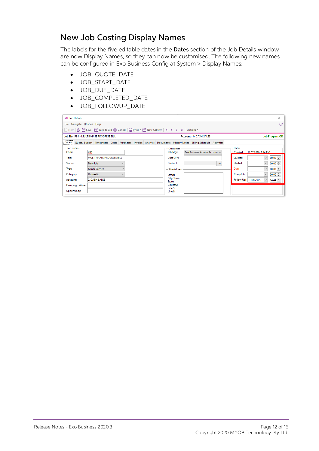#### <span id="page-13-0"></span>New Job Costing Display Names

The labels for the five editable dates in the **Dates** section of the Job Details window are now Display Names, so they can now be customised. The following new names can be configured in Exo Business Config at System > Dis

- JOB\_QUOTE\_DATE
- JOB\_START\_DATE
- JOB\_DUE\_DATE
- JOB\_COMPLETED\_DATE
- JOB\_FOLLOWUP\_DATE

| JC Job Details               |                                                                                                                                           |                                                     | $\times$<br>П                                            |
|------------------------------|-------------------------------------------------------------------------------------------------------------------------------------------|-----------------------------------------------------|----------------------------------------------------------|
| File Navigate Utilities Help |                                                                                                                                           |                                                     | $\omega$                                                 |
|                              | □ New   ᇒ 日 Save   図 Save & Exit (x) Cancel   습 Print ▼ 間 New Activity   K < > >  Actions ▼                                               |                                                     |                                                          |
|                              | Job No: PB1 - MULTI PHASE PROGRESS BILL                                                                                                   | Account: 0. CASH SALES                              | <b>Job Progress OK</b>                                   |
|                              | Details   Quote/ Budget   Timesheets   Costs   Purchases   Invoice   Analysis   Documents   History Notes   Billing Schedule   Activities |                                                     |                                                          |
| Job details<br>Code:         | PB <sub>1</sub>                                                                                                                           | Customer<br>Job Mgr:<br>Exo Business Admin Accoun ~ | <b>Dates</b><br>11.07.2020 2:44 PM<br>Created:           |
| <b>Title:</b>                | <b>MULTI PHASE PROGRESS BILL</b>                                                                                                          | Cust O/N:                                           | 00:00 <br>Quoted:<br>$\checkmark$                        |
| <b>Status:</b>               | New Job<br>$\checkmark$                                                                                                                   | Contact:<br>$\cdots$                                | Started:<br>$00:00$ $\div$<br>$\checkmark$               |
| Type:                        | <b>Minor Service</b>                                                                                                                      | - Site Address                                      | $00:00$ $\Rightarrow$<br>Due:<br>$\checkmark$            |
| Category:                    | <b>Domestic</b><br>$\checkmark$                                                                                                           | Street:                                             | $00:00$ $\rightarrow$<br>Complete:<br>$\checkmark$       |
| Account:                     | 0. CASH SALES                                                                                                                             | City/Town:<br>State:                                | Follow Up:<br>$14:44 \div$<br>11.07.2020<br>$\checkmark$ |
| <b>Campaign Wave:</b>        |                                                                                                                                           | Country:                                            |                                                          |
| Opportunity:                 |                                                                                                                                           | Line 5:<br>Line 6:                                  |                                                          |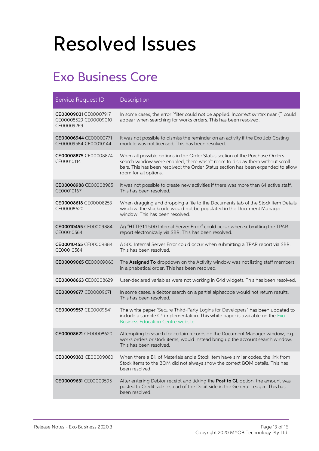## <span id="page-14-0"></span>Resolved Issues

## <span id="page-14-1"></span>Exo Business Core

| Service Request ID                                           | Description                                                                                                                                                                                                                                                                |
|--------------------------------------------------------------|----------------------------------------------------------------------------------------------------------------------------------------------------------------------------------------------------------------------------------------------------------------------------|
| CE00009031 CE00007917<br>CE00008529 CE00009010<br>CE00009269 | In some cases, the error "filter could not be applied. Incorrect syntax near '(" could<br>appear when searching for works orders. This has been resolved.                                                                                                                  |
| CE00006944 CE00000771<br>CE00009584 CE00010144               | It was not possible to dismiss the reminder on an activity if the Exo Job Costing<br>module was not licensed. This has been resolved.                                                                                                                                      |
| CE00008875 CE00008874<br>CE00010114                          | When all possible options in the Order Status section of the Purchase Orders<br>search window were enabled, there wasn't room to display them without scroll<br>bars. This has been resolved; the Order Status section has been expanded to allow<br>room for all options. |
| CE00008988 CE00008985<br>CE00010167                          | It was not possible to create new activities if there was more than 64 active staff.<br>This has been resolved.                                                                                                                                                            |
| CE00008618 CE00008253<br>CE00008620                          | When dragging and dropping a file to the Documents tab of the Stock Item Details<br>window, the stockcode would not be populated in the Document Manager<br>window. This has been resolved.                                                                                |
| CE00010455 CE00009884<br>CE00010564                          | An "HTTP/1.1 500 Internal Server Error" could occur when submitting the TPAR<br>report electronically via SBR. This has been resolved.                                                                                                                                     |
| CE00010455 CE00009884<br>CE00010564                          | A 500 Internal Server Error could occur when submitting a TPAR report via SBR.<br>This has been resolved.                                                                                                                                                                  |
| CE00009065 CE00009060                                        | The Assigned To dropdown on the Activity window was not listing staff members<br>in alphabetical order. This has been resolved.                                                                                                                                            |
| CE00008663 CE00008629                                        | User-declared variables were not working in Grid widgets. This has been resolved.                                                                                                                                                                                          |
| CE00009677 CE00009671                                        | In some cases, a debtor search on a partial alphacode would not return results.<br>This has been resolved.                                                                                                                                                                 |
| CE00009557 CE00009541                                        | The white paper "Secure Third-Party Logins for Developers" has been updated to<br>include a sample C# implementation. This white paper is available on the $Exo$<br><b>Business Education Centre website.</b>                                                              |
| CE00008621 CE00008620                                        | Attempting to search for certain records on the Document Manager window, e.g<br>works orders or stock items, would instead bring up the account search window.<br>This has been resolved.                                                                                  |
| CE00009383 CE00009080                                        | When there a Bill of Materials and a Stock Item have similar codes, the link from<br>Stock Items to the BOM did not always show the correct BOM details. This has<br>been resolved.                                                                                        |
| CE00009631 CE00009595                                        | After entering Debtor receipt and ticking the Post to GL option, the amount was<br>posted to Credit side instead of the Debit side in the General Ledger. This has<br>been resolved.                                                                                       |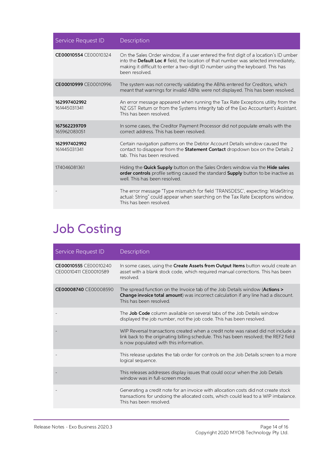| Service Request ID           | Description                                                                                                                                                                                                                                                                      |
|------------------------------|----------------------------------------------------------------------------------------------------------------------------------------------------------------------------------------------------------------------------------------------------------------------------------|
| CE00010554 CE00010324        | On the Sales Order window, if a user entered the first digit of a location's ID umber<br>into the Default Loc # field, the location of that number was selected immediately,<br>making it difficult to enter a two-digit ID number using the keyboard. This has<br>been resolved |
| CE00010999 CE00010996        | The system was not correctly validating the ABNs entered for Creditors, which<br>meant that warnings for invalid ABNs were not displayed. This has been resolved.                                                                                                                |
| 162997402992<br>161445031341 | An error message appeared when running the Tax Rate Exceptions utility from the<br>NZ GST Return or from the Systems Integrity tab of the Exo Accountant's Assistant.<br>This has been resolved                                                                                  |
| 167562239709<br>165962083051 | In some cases, the Creditor Payment Processor did not populate emails with the<br>correct address. This has been resolved.                                                                                                                                                       |
| 162997402992<br>161445031341 | Certain navigation patterns on the Debtor Account Details window caused the<br>contact to disappear from the Statement Contact dropdown box on the Details 2<br>tab. This has been resolved                                                                                      |
| 174046081361                 | Hiding the Quick Supply button on the Sales Orders window via the Hide sales<br>order controls profile setting caused the standard Supply button to be inactive as<br>well. This has been resolved.                                                                              |
|                              | The error message "Type mismatch for field 'TRANSDESC', expecting: WideString<br>actual: String" could appear when searching on the Tax Rate Exceptions window.<br>This has been resolved.                                                                                       |

## <span id="page-15-0"></span>Job Costing

| Service Request ID                             | Description                                                                                                                                                                                                           |
|------------------------------------------------|-----------------------------------------------------------------------------------------------------------------------------------------------------------------------------------------------------------------------|
| CE00010555 CE00010240<br>CE00010411 CE00010589 | In some cases, using the <b>Create Assets from Output Items</b> button would create an<br>asset with a blank stock code, which required manual corrections. This has been<br>resolved                                 |
| CE00008740 CE00008590                          | The spread function on the Invoice tab of the Job Details window ( <b>Actions</b> ><br><b>Change invoice total amount</b> ) was incorrect calculation if any line had a discount.<br>This has been resolved           |
|                                                | The <b>Job Code</b> column available on several tabs of the Job Details window<br>displayed the job number, not the job code. This has been resolved.                                                                 |
|                                                | WIP Reversal transactions created when a credit note was raised did not include a<br>link back to the originating billing schedule. This has been resolved; the REF2 field<br>is now populated with this information. |
|                                                | This release updates the tab order for controls on the Job Details screen to a more<br>logical sequence.                                                                                                              |
|                                                | This releases addresses display issues that could occur when the Job Details<br>window was in full-screen mode                                                                                                        |
|                                                | Generating a credit note for an invoice with allocation costs did not create stock<br>transactions for undoing the allocated costs, which could lead to a WIP imbalance.<br>This has been resolved.                   |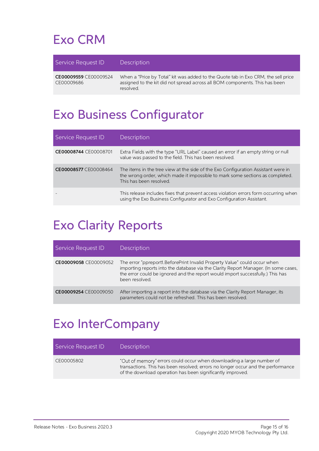## <span id="page-16-0"></span>Exo CRM

| Service Request ID                  | <b>Description</b>                                                                                                                                                            |
|-------------------------------------|-------------------------------------------------------------------------------------------------------------------------------------------------------------------------------|
| CE00009559 CE00009524<br>CE00009686 | When a "Price by Total" kit was added to the Quote tab in Exo CRM, the sell price<br>assigned to the kit did not spread across all BOM components. This has been<br>resolved. |

## <span id="page-16-1"></span>Exo Business Configurator

| Service Request ID    | Description                                                                                                                                                                                   |
|-----------------------|-----------------------------------------------------------------------------------------------------------------------------------------------------------------------------------------------|
| CE00008744 CE00008701 | Extra Fields with the type "URL Label" caused an error if an empty string or null<br>value was passed to the field. This has been resolved.                                                   |
| CE00008577 CE00008464 | The items in the tree view at the side of the Exo Configuration Assistant were in<br>the wrong order, which made it impossible to mark some sections as completed.<br>This has been resolved. |
|                       | This release includes fixes that prevent access violation errors form occurring when<br>using the Exo Business Configurator and Exo Configuration Assistant.                                  |

### <span id="page-16-2"></span>Exo Clarity Reports

| Service Request ID    | <b>Description</b>                                                                                                                                                                                                                                                    |
|-----------------------|-----------------------------------------------------------------------------------------------------------------------------------------------------------------------------------------------------------------------------------------------------------------------|
| CE00009058 CE00009052 | The error "ppreport1. Before Print Invalid Property Value" could occur when<br>importing reports into the database via the Clarity Report Manager. (In some cases,<br>the error could be ignored and the report would import successfully.) This has<br>been resolved |
| CE00009254 CE00009050 | After importing a report into the database via the Clarity Report Manager, its<br>parameters could not be refreshed. This has been resolved.                                                                                                                          |

### <span id="page-16-3"></span>Exo InterCompany

| Service Request ID | Description                                                                                                                                                                                                             |
|--------------------|-------------------------------------------------------------------------------------------------------------------------------------------------------------------------------------------------------------------------|
| CE00005802         | "Out of memory" errors could occur when downloading a large number of<br>transactions. This has been resolved; errors no longer occur and the performance<br>of the download operation has been significantly improved. |